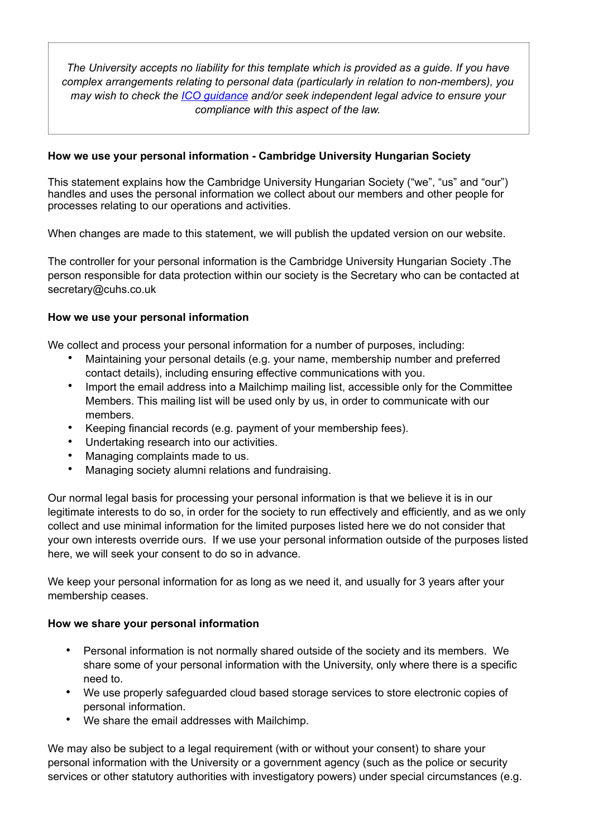*The University accepts no liability for this template which is provided as a guide. If you have complex arrangements relating to personal data (particularly in relation to non-members), you may wish to check the [ICO guidance](https://ico.org.uk/for-organisations/guide-to-the-general-data-protection-regulation-gdpr/individual-rights/right-to-be-informed/) and/or seek independent legal advice to ensure your compliance with this aspect of the law.*

## **How we use your personal information - Cambridge University Hungarian Society**

This statement explains how the Cambridge University Hungarian Society ("we", "us" and "our") handles and uses the personal information we collect about our members and other people for processes relating to our operations and activities.

When changes are made to this statement, we will publish the updated version on our website.

The controller for your personal information is the Cambridge University Hungarian Society .The person responsible for data protection within our society is the Secretary who can be contacted at secretary@cuhs.co.uk

## **How we use your personal information**

We collect and process your personal information for a number of purposes, including:

- Maintaining your personal details (e.g. your name, membership number and preferred contact details), including ensuring effective communications with you.
- Import the email address into a Mailchimp mailing list, accessible only for the Committee Members. This mailing list will be used only by us, in order to communicate with our members.
- Keeping financial records (e.g. payment of your membership fees).
- Undertaking research into our activities.
- Managing complaints made to us.
- Managing society alumni relations and fundraising.

Our normal legal basis for processing your personal information is that we believe it is in our legitimate interests to do so, in order for the society to run effectively and efficiently, and as we only collect and use minimal information for the limited purposes listed here we do not consider that your own interests override ours. If we use your personal information outside of the purposes listed here, we will seek your consent to do so in advance.

We keep your personal information for as long as we need it, and usually for 3 years after your membership ceases.

## **How we share your personal information**

- Personal information is not normally shared outside of the society and its members. We share some of your personal information with the University, only where there is a specific need to.
- We use properly safeguarded cloud based storage services to store electronic copies of personal information.
- We share the email addresses with Mailchimp.

We may also be subject to a legal requirement (with or without your consent) to share your personal information with the University or a government agency (such as the police or security services or other statutory authorities with investigatory powers) under special circumstances (e.g.